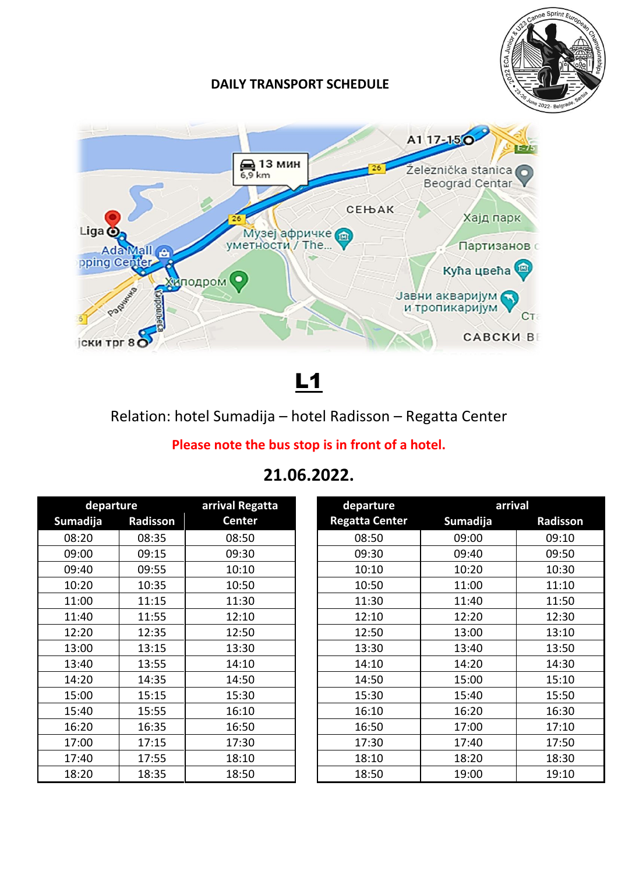

#### **DAILY TRANSPORT SCHEDULE**



L1

### Relation: hotel Sumadija – hotel Radisson – Regatta Center

### **Please note the bus stop is in front of a hotel.**

## **21.06.2022.**

| departure |          | arrival Regatta | departure             | arrival  |          |
|-----------|----------|-----------------|-----------------------|----------|----------|
| Sumadija  | Radisson | <b>Center</b>   | <b>Regatta Center</b> | Sumadija | Radisson |
| 08:20     | 08:35    | 08:50           | 08:50                 | 09:00    | 09:10    |
| 09:00     | 09:15    | 09:30           | 09:30                 | 09:40    | 09:50    |
| 09:40     | 09:55    | 10:10           | 10:10                 | 10:20    | 10:30    |
| 10:20     | 10:35    | 10:50           | 10:50                 | 11:00    | 11:10    |
| 11:00     | 11:15    | 11:30           | 11:30                 | 11:40    | 11:50    |
| 11:40     | 11:55    | 12:10           | 12:10                 | 12:20    | 12:30    |
| 12:20     | 12:35    | 12:50           | 12:50                 | 13:00    | 13:10    |
| 13:00     | 13:15    | 13:30           | 13:30                 | 13:40    | 13:50    |
| 13:40     | 13:55    | 14:10           | 14:10                 | 14:20    | 14:30    |
| 14:20     | 14:35    | 14:50           | 14:50                 | 15:00    | 15:10    |
| 15:00     | 15:15    | 15:30           | 15:30                 | 15:40    | 15:50    |
| 15:40     | 15:55    | 16:10           | 16:10                 | 16:20    | 16:30    |
| 16:20     | 16:35    | 16:50           | 16:50                 | 17:00    | 17:10    |
| 17:00     | 17:15    | 17:30           | 17:30                 | 17:40    | 17:50    |
| 17:40     | 17:55    | 18:10           | 18:10                 | 18:20    | 18:30    |
| 18:20     | 18:35    | 18:50           | 18:50                 | 19:00    | 19:10    |